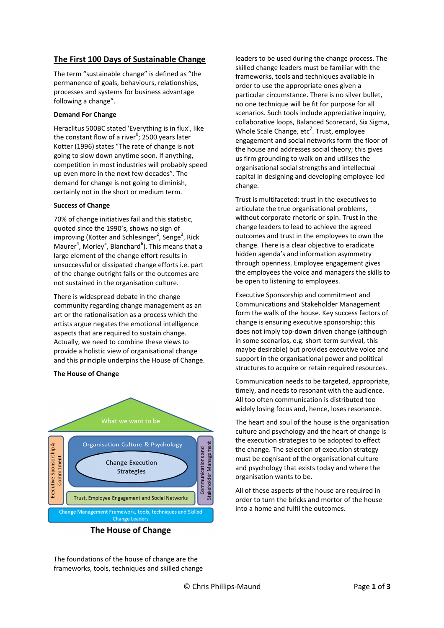# The First 100 Days of Sustainable Change

The term "sustainable change" is defined as "the permanence of goals, behaviours, relationships, processes and systems for business advantage following a change".

# Demand For Change

Heraclitus 500BC stated 'Everything is in flux', like the constant flow of a river<sup>0</sup>; 2500 years later Kotter (1996) states "The rate of change is not going to slow down anytime soon. If anything, competition in most industries will probably speed up even more in the next few decades". The demand for change is not going to diminish, certainly not in the short or medium term.

# Success of Change

70% of change initiatives fail and this statistic, quoted since the 1990's, shows no sign of improving (Kotter and Schlesinger<sup>2</sup>, Senge<sup>3</sup>, Rick Maurer<sup>4</sup>, Morley<sup>5</sup>, Blanchard<sup>6</sup>). This means that a large element of the change effort results in unsuccessful or dissipated change efforts i.e. part of the change outright fails or the outcomes are not sustained in the organisation culture.

There is widespread debate in the change community regarding change management as an art or the rationalisation as a process which the artists argue negates the emotional intelligence aspects that are required to sustain change. Actually, we need to combine these views to provide a holistic view of organisational change and this principle underpins the House of Change.

# The House of Change



leaders to be used during the change process. The skilled change leaders must be familiar with the frameworks, tools and techniques available in order to use the appropriate ones given a particular circumstance. There is no silver bullet, no one technique will be fit for purpose for all scenarios. Such tools include appreciative inquiry. collaborative loops, Balanced Scorecard, Six Sigma, Whole Scale Change, etc<sup>7</sup>. Trust, employee engagement and social networks form the floor of the house and addresses social theory; this gives us firm grounding to walk on and utilises the organisational social strengths and intellectual capital in designing and developing employee-led change.

Trust is multifaceted: trust in the executives to articulate the true organisational problems, without corporate rhetoric or spin. Trust in the change leaders to lead to achieve the agreed outcomes and trust in the employees to own the change. There is a clear objective to eradicate hidden agenda's and information asymmetry through openness. Employee engagement gives the employees the voice and managers the skills to be open to listening to employees.

Executive Sponsorship and commitment and Communications and Stakeholder Management form the walls of the house. Key success factors of change is ensuring executive sponsorship; this does not imply top-down driven change (although in some scenarios, e.g. short-term survival, this maybe desirable) but provides executive voice and support in the organisational power and political structures to acquire or retain required resources.

Communication needs to be targeted, appropriate, timely, and needs to resonant with the audience. All too often communication is distributed too widely losing focus and, hence, loses resonance.

The heart and soul of the house is the organisation culture and psychology and the heart of change is the execution strategies to be adopted to effect the change. The selection of execution strategy must be cognisant of the organisational culture and psychology that exists today and where the organisation wants to be.

All of these aspects of the house are required in order to turn the bricks and mortor of the house into a home and fulfil the outcomes.

The foundations of the house of change are the frameworks, tools, techniques and skilled change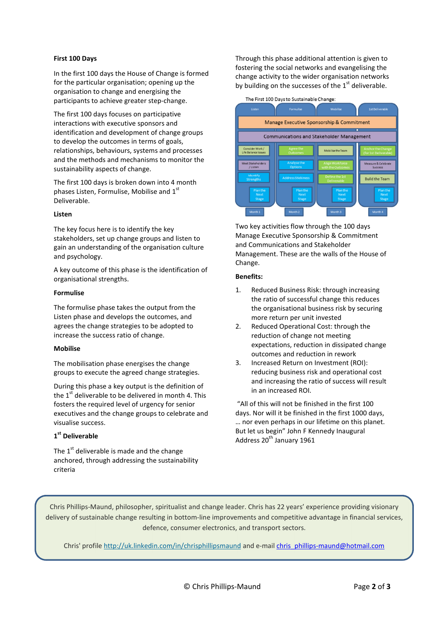# First 100 Days

In the first 100 days the House of Change is formed for the particular organisation; opening up the organisation to change and energising the participants to achieve greater step-change.

The first 100 days focuses on participative interactions with executive sponsors and identification and development of change groups to develop the outcomes in terms of goals, relationships, behaviours, systems and processes and the methods and mechanisms to monitor the sustainability aspects of change.

The first 100 days is broken down into 4 month phases Listen, Formulise, Mobilise and 1st Deliverable.

#### Listen

The key focus here is to identify the key stakeholders, set up change groups and listen to gain an understanding of the organisation culture and psychology.

A key outcome of this phase is the identification of organisational strengths.

#### Formulise

The formulise phase takes the output from the Listen phase and develops the outcomes, and agrees the change strategies to be adopted to increase the success ratio of change.

# Mobilise

The mobilisation phase energises the change groups to execute the agreed change strategies.

During this phase a key output is the definition of the  $1<sup>st</sup>$  deliverable to be delivered in month 4. This fosters the required level of urgency for senior executives and the change groups to celebrate and visualise success.

# 1<sup>st</sup> Deliverable

The  $1<sup>st</sup>$  deliverable is made and the change anchored, through addressing the sustainability criteria

Through this phase additional attention is given to fostering the social networks and evangelising the change activity to the wider organisation networks by building on the successes of the  $1<sup>st</sup>$  deliverable.



Two key activities flow through the 100 days Manage Executive Sponsorship & Commitment and Communications and Stakeholder Management. These are the walls of the House of Change.

#### Benefits:

- 1. Reduced Business Risk: through increasing the ratio of successful change this reduces the organisational business risk by securing more return per unit invested
- 2. Reduced Operational Cost: through the reduction of change not meeting expectations, reduction in dissipated change outcomes and reduction in rework
- 3. Increased Return on Investment (ROI): reducing business risk and operational cost and increasing the ratio of success will result in an increased ROI.

 "All of this will not be finished in the first 100 days. Nor will it be finished in the first 1000 days, … nor even perhaps in our lifetime on this planet. But let us begin" John F Kennedy Inaugural Address 20<sup>th</sup> January 1961

Chris Phillips-Maund, philosopher, spiritualist and change leader. Chris has 22 years' experience providing visionary delivery of sustainable change resulting in bottom-line improvements and competitive advantage in financial services, defence, consumer electronics, and transport sectors.

Chris' profile http://uk.linkedin.com/in/chrisphillipsmaund and e-mail chris\_phillips-maund@hotmail.com